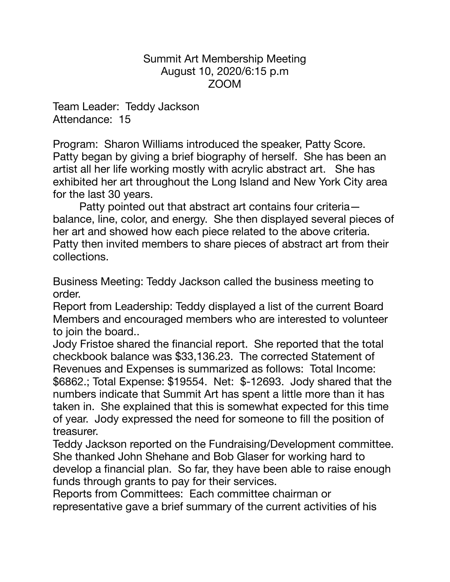Summit Art Membership Meeting August 10, 2020/6:15 p.m ZOOM

Team Leader: Teddy Jackson Attendance: 15

Program: Sharon Williams introduced the speaker, Patty Score. Patty began by giving a brief biography of herself. She has been an artist all her life working mostly with acrylic abstract art. She has exhibited her art throughout the Long Island and New York City area for the last 30 years.

Patty pointed out that abstract art contains four criteria balance, line, color, and energy. She then displayed several pieces of her art and showed how each piece related to the above criteria. Patty then invited members to share pieces of abstract art from their collections.

Business Meeting: Teddy Jackson called the business meeting to order.

Report from Leadership: Teddy displayed a list of the current Board Members and encouraged members who are interested to volunteer to join the board..

Jody Fristoe shared the financial report. She reported that the total checkbook balance was \$33,136.23. The corrected Statement of Revenues and Expenses is summarized as follows: Total Income: \$6862.; Total Expense: \$19554. Net: \$-12693. Jody shared that the numbers indicate that Summit Art has spent a little more than it has taken in. She explained that this is somewhat expected for this time of year. Jody expressed the need for someone to fill the position of treasurer.

Teddy Jackson reported on the Fundraising/Development committee. She thanked John Shehane and Bob Glaser for working hard to develop a financial plan. So far, they have been able to raise enough funds through grants to pay for their services.

Reports from Committees: Each committee chairman or representative gave a brief summary of the current activities of his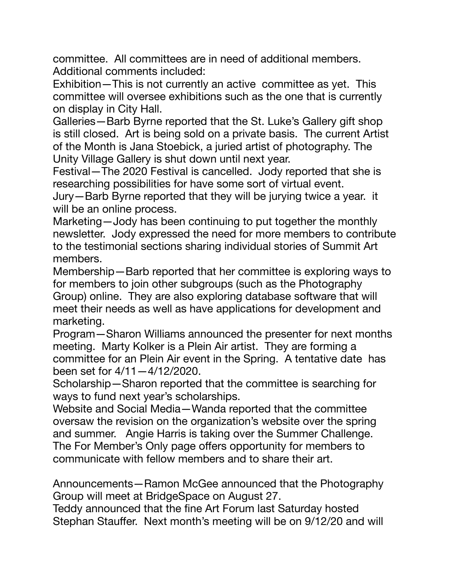committee. All committees are in need of additional members. Additional comments included:

Exhibition—This is not currently an active committee as yet. This committee will oversee exhibitions such as the one that is currently on display in City Hall.

Galleries—Barb Byrne reported that the St. Luke's Gallery gift shop is still closed. Art is being sold on a private basis. The current Artist of the Month is Jana Stoebick, a juried artist of photography. The Unity Village Gallery is shut down until next year.

Festival—The 2020 Festival is cancelled. Jody reported that she is researching possibilities for have some sort of virtual event.

Jury—Barb Byrne reported that they will be jurying twice a year. it will be an online process.

Marketing—Jody has been continuing to put together the monthly newsletter. Jody expressed the need for more members to contribute to the testimonial sections sharing individual stories of Summit Art members.

Membership—Barb reported that her committee is exploring ways to for members to join other subgroups (such as the Photography Group) online. They are also exploring database software that will meet their needs as well as have applications for development and marketing.

Program—Sharon Williams announced the presenter for next months meeting. Marty Kolker is a Plein Air artist. They are forming a committee for an Plein Air event in the Spring. A tentative date has been set for 4/11—4/12/2020.

Scholarship—Sharon reported that the committee is searching for ways to fund next year's scholarships.

Website and Social Media—Wanda reported that the committee oversaw the revision on the organization's website over the spring and summer. Angie Harris is taking over the Summer Challenge. The For Member's Only page offers opportunity for members to communicate with fellow members and to share their art.

Announcements—Ramon McGee announced that the Photography Group will meet at BridgeSpace on August 27.

Teddy announced that the fine Art Forum last Saturday hosted Stephan Stauffer. Next month's meeting will be on 9/12/20 and will